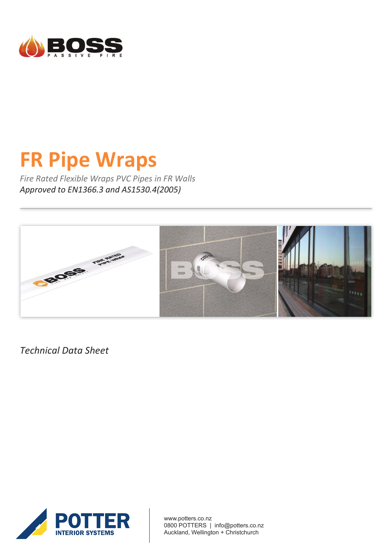

# **FR Pipe Wraps**

*Fire Rated Flexible Wraps PVC Pipes in FR Walls Approved to EN1366.3 and AS1530.4(2005)*



*Technical Data Sheet*



www.potters.co.nz 0800 POTTERS | info@potters.co.nz Auckland, Wellington + Christchurch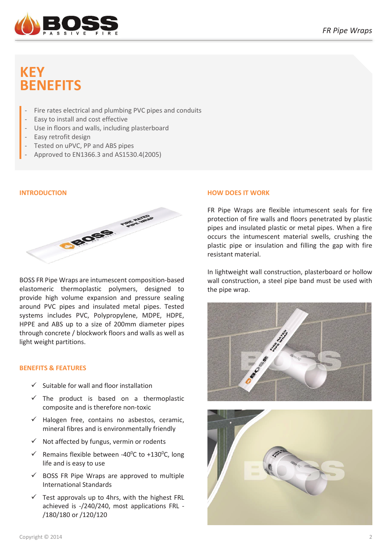

# **KEY BENEFITS**

- Fire rates electrical and plumbing PVC pipes and conduits
- Easy to install and cost effective
- Use in floors and walls, including plasterboard
- Easy retrofit design
- Tested on uPVC, PP and ABS pipes
- Approved to EN1366.3 and AS1530.4(2005)

# **INTRODUCTION**



BOSS FR Pipe Wraps are intumescent composition-based elastomeric thermoplastic polymers, designed to provide high volume expansion and pressure sealing around PVC pipes and insulated metal pipes. Tested systems includes PVC, Polypropylene, MDPE, HDPE, HPPE and ABS up to a size of 200mm diameter pipes through concrete / blockwork floors and walls as well as light weight partitions.

# **BENEFITS & FEATURES**

- $\checkmark$  Suitable for wall and floor installation
- $\checkmark$  The product is based on a thermoplastic composite and is therefore non-toxic
- $\checkmark$  Halogen free, contains no asbestos, ceramic, mineral fibres and is environmentally friendly
- $\checkmark$  Not affected by fungus, vermin or rodents
- $\checkmark$  Remains flexible between -40<sup>o</sup>C to +130<sup>o</sup>C, long life and is easy to use
- $\checkmark$  BOSS FR Pipe Wraps are approved to multiple International Standards
- $\checkmark$  Test approvals up to 4hrs, with the highest FRL achieved is -/240/240, most applications FRL - /180/180 or /120/120

# **HOW DOES IT WORK**

FR Pipe Wraps are flexible intumescent seals for fire protection of fire walls and floors penetrated by plastic pipes and insulated plastic or metal pipes. When a fire occurs the intumescent material swells, crushing the plastic pipe or insulation and filling the gap with fire resistant material.

In lightweight wall construction, plasterboard or hollow wall construction, a steel pipe band must be used with the pipe wrap.



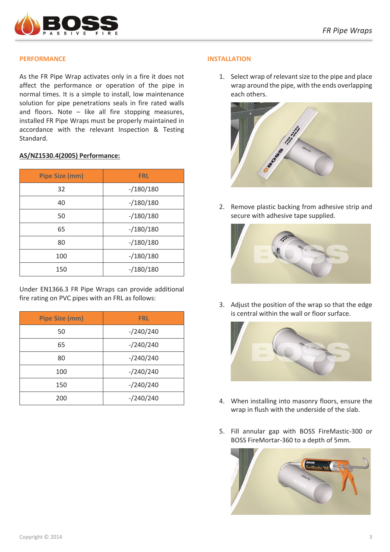

# **PERFORMANCE**

As the FR Pipe Wrap activates only in a fire it does not affect the performance or operation of the pipe in normal times. It is a simple to install, low maintenance solution for pipe penetrations seals in fire rated walls and floors. Note – like all fire stopping measures, installed FR Pipe Wraps must be properly maintained in accordance with the relevant Inspection & Testing Standard.

#### **AS/NZ1530.4(2005) Performance:**

| <b>Pipe Size (mm)</b> | <b>FRL</b>  |
|-----------------------|-------------|
| 32                    | $-/180/180$ |
| 40                    | $-/180/180$ |
| 50                    | $-/180/180$ |
| 65                    | $-/180/180$ |
| 80                    | $-/180/180$ |
| 100                   | $-/180/180$ |
| 150                   | $-/180/180$ |

Under EN1366.3 FR Pipe Wraps can provide additional fire rating on PVC pipes with an FRL as follows:

| <b>Pipe Size (mm)</b> | <b>FRL</b> |
|-----------------------|------------|
| 50                    | $-240/240$ |
| 65                    | $-240/240$ |
| 80                    | $-240/240$ |
| 100                   | $-240/240$ |
| 150                   | $-240/240$ |
| 200                   | $-240/240$ |

#### **INSTALLATION**

1. Select wrap of relevant size to the pipe and place wrap around the pipe, with the ends overlapping each others.



2. Remove plastic backing from adhesive strip and secure with adhesive tape supplied.



3. Adjust the position of the wrap so that the edge is central within the wall or floor surface.



- 4. When installing into masonry floors, ensure the wrap in flush with the underside of the slab.
- 5. Fill annular gap with BOSS FireMastic-300 or BOSS FireMortar-360 to a depth of 5mm.